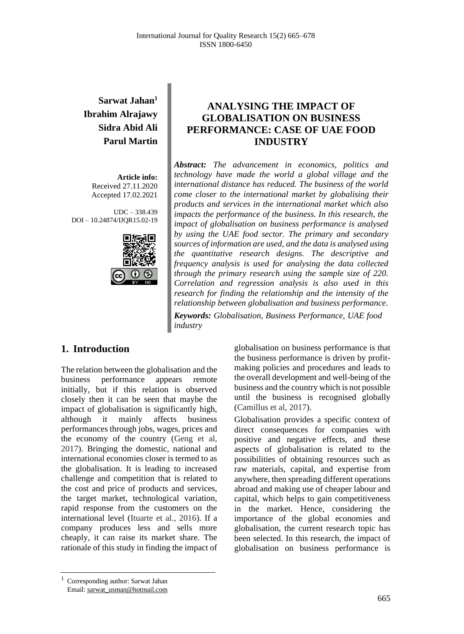# **Sarwat Jahan<sup>1</sup> Ibrahim Alrajawy Sidra Abid Ali Parul Martin**

**Article info:** Received 27.11.2020 Accepted 17.02.2021

UDC – 338.439 DOI – 10.24874/IJQR15.02-19



## **ANALYSING THE IMPACT OF GLOBALISATION ON BUSINESS PERFORMANCE: CASE OF UAE FOOD INDUSTRY**

*Abstract: The advancement in economics, politics and technology have made the world a global village and the international distance has reduced. The business of the world come closer to the international market by globalising their products and services in the international market which also impacts the performance of the business. In this research, the impact of globalisation on business performance is analysed by using the UAE food sector. The primary and secondary sources of information are used, and the data is analysed using the quantitative research designs. The descriptive and frequency analysis is used for analysing the data collected through the primary research using the sample size of 220. Correlation and regression analysis is also used in this research for finding the relationship and the intensity of the relationship between globalisation and business performance.*

*Keywords: Globalisation, Business Performance, UAE food industry*

### **1. Introduction**

The relation between the globalisation and the business performance appears remote initially, but if this relation is observed closely then it can be seen that maybe the impact of globalisation is significantly high, although it mainly affects business performances through jobs, wages, prices and the economy of the country (Geng et al, 2017). Bringing the domestic, national and international economies closer is termed to as the globalisation. It is leading to increased challenge and competition that is related to the cost and price of products and services, the target market, technological variation, rapid response from the customers on the international level (Ituarte et al., 2016). If a company produces less and sells more cheaply, it can raise its market share. The rationale of this study in finding the impact of

globalisation on business performance is that the business performance is driven by profitmaking policies and procedures and leads to the overall development and well-being of the business and the country which is not possible until the business is recognised globally (Camillus et al, 2017).

Globalisation provides a specific context of direct consequences for companies with positive and negative effects, and these aspects of globalisation is related to the possibilities of obtaining resources such as raw materials, capital, and expertise from anywhere, then spreading different operations abroad and making use of cheaper labour and capital, which helps to gain competitiveness in the market. Hence, considering the importance of the global economies and globalisation, the current research topic has been selected. In this research, the impact of globalisation on business performance is

<sup>1</sup> Corresponding author: Sarwat Jahan Email: sarwat\_usman@hotmail.com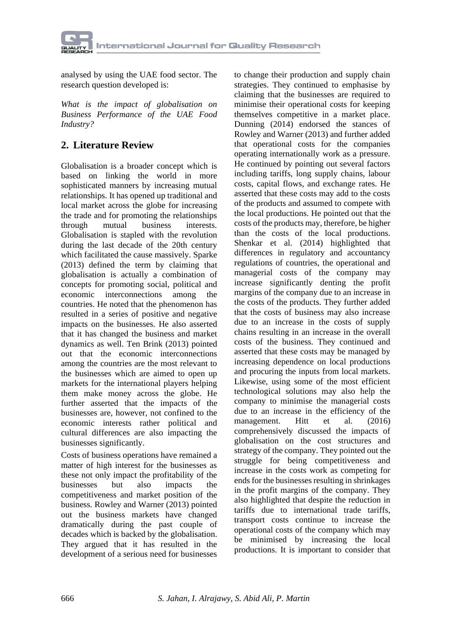

analysed by using the UAE food sector. The research question developed is:

*What is the impact of globalisation on Business Performance of the UAE Food Industry?*

# **2. Literature Review**

Globalisation is a broader concept which is based on linking the world in more sophisticated manners by increasing mutual relationships. It has opened up traditional and local market across the globe for increasing the trade and for promoting the relationships through mutual business interests. Globalisation is stapled with the revolution during the last decade of the 20th century which facilitated the cause massively. Sparke (2013) defined the term by claiming that globalisation is actually a combination of concepts for promoting social, political and economic interconnections among the countries. He noted that the phenomenon has resulted in a series of positive and negative impacts on the businesses. He also asserted that it has changed the business and market dynamics as well. Ten Brink (2013) pointed out that the economic interconnections among the countries are the most relevant to the businesses which are aimed to open up markets for the international players helping them make money across the globe. He further asserted that the impacts of the businesses are, however, not confined to the economic interests rather political and cultural differences are also impacting the businesses significantly.

Costs of business operations have remained a matter of high interest for the businesses as these not only impact the profitability of the businesses but also impacts the competitiveness and market position of the business. Rowley and Warner (2013) pointed out the business markets have changed dramatically during the past couple of decades which is backed by the globalisation. They argued that it has resulted in the development of a serious need for businesses

to change their production and supply chain strategies. They continued to emphasise by claiming that the businesses are required to minimise their operational costs for keeping themselves competitive in a market place. Dunning (2014) endorsed the stances of Rowley and Warner (2013) and further added that operational costs for the companies operating internationally work as a pressure. He continued by pointing out several factors including tariffs, long supply chains, labour costs, capital flows, and exchange rates. He asserted that these costs may add to the costs of the products and assumed to compete with the local productions. He pointed out that the costs of the products may, therefore, be higher than the costs of the local productions. Shenkar et al. (2014) highlighted that differences in regulatory and accountancy regulations of countries, the operational and managerial costs of the company may increase significantly denting the profit margins of the company due to an increase in the costs of the products. They further added that the costs of business may also increase due to an increase in the costs of supply chains resulting in an increase in the overall costs of the business. They continued and asserted that these costs may be managed by increasing dependence on local productions and procuring the inputs from local markets. Likewise, using some of the most efficient technological solutions may also help the company to minimise the managerial costs due to an increase in the efficiency of the management. Hitt et al. (2016) comprehensively discussed the impacts of globalisation on the cost structures and strategy of the company. They pointed out the struggle for being competitiveness and increase in the costs work as competing for ends for the businesses resulting in shrinkages in the profit margins of the company. They also highlighted that despite the reduction in tariffs due to international trade tariffs, transport costs continue to increase the operational costs of the company which may be minimised by increasing the local productions. It is important to consider that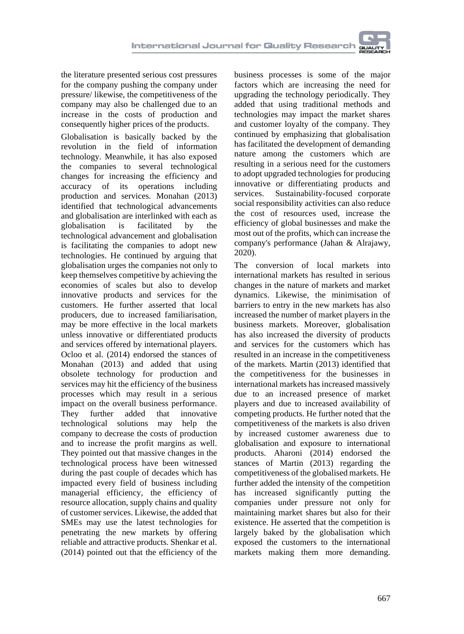the literature presented serious cost pressures for the company pushing the company under pressure/ likewise, the competitiveness of the company may also be challenged due to an increase in the costs of production and consequently higher prices of the products.

Globalisation is basically backed by the revolution in the field of information technology. Meanwhile, it has also exposed the companies to several technological changes for increasing the efficiency and accuracy of its operations including production and services. Monahan (2013) identified that technological advancements and globalisation are interlinked with each as globalisation is facilitated by the technological advancement and globalisation is facilitating the companies to adopt new technologies. He continued by arguing that globalisation urges the companies not only to keep themselves competitive by achieving the economies of scales but also to develop innovative products and services for the customers. He further asserted that local producers, due to increased familiarisation, may be more effective in the local markets unless innovative or differentiated products and services offered by international players. Ocloo et al. (2014) endorsed the stances of Monahan (2013) and added that using obsolete technology for production and services may hit the efficiency of the business processes which may result in a serious impact on the overall business performance. They further added that innovative technological solutions may help the company to decrease the costs of production and to increase the profit margins as well. They pointed out that massive changes in the technological process have been witnessed during the past couple of decades which has impacted every field of business including managerial efficiency, the efficiency of resource allocation, supply chains and quality of customer services. Likewise, the added that SMEs may use the latest technologies for penetrating the new markets by offering reliable and attractive products. Shenkar et al. (2014) pointed out that the efficiency of the

business processes is some of the major factors which are increasing the need for upgrading the technology periodically. They added that using traditional methods and technologies may impact the market shares and customer loyalty of the company. They continued by emphasizing that globalisation has facilitated the development of demanding nature among the customers which are resulting in a serious need for the customers to adopt upgraded technologies for producing innovative or differentiating products and services. Sustainability-focused corporate social responsibility activities can also reduce the cost of resources used, increase the efficiency of global businesses and make the most out of the profits, which can increase the company's performance (Jahan & Alrajawy, 2020).

The conversion of local markets into international markets has resulted in serious changes in the nature of markets and market dynamics. Likewise, the minimisation of barriers to entry in the new markets has also increased the number of market players in the business markets. Moreover, globalisation has also increased the diversity of products and services for the customers which has resulted in an increase in the competitiveness of the markets. Martin (2013) identified that the competitiveness for the businesses in international markets has increased massively due to an increased presence of market players and due to increased availability of competing products. He further noted that the competitiveness of the markets is also driven by increased customer awareness due to globalisation and exposure to international products. Aharoni (2014) endorsed the stances of Martin (2013) regarding the competitiveness of the globalised markets. He further added the intensity of the competition has increased significantly putting the companies under pressure not only for maintaining market shares but also for their existence. He asserted that the competition is largely baked by the globalisation which exposed the customers to the international markets making them more demanding.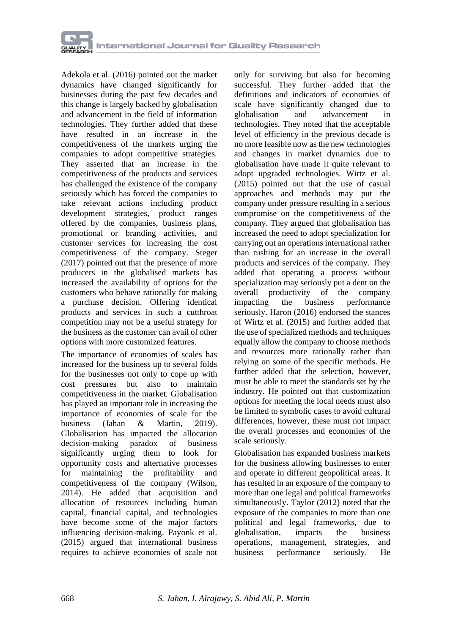

Adekola et al. (2016) pointed out the market dynamics have changed significantly for businesses during the past few decades and this change is largely backed by globalisation and advancement in the field of information technologies. They further added that these have resulted in an increase in the competitiveness of the markets urging the companies to adopt competitive strategies. They asserted that an increase in the competitiveness of the products and services has challenged the existence of the company seriously which has forced the companies to take relevant actions including product development strategies, product ranges offered by the companies, business plans, promotional or branding activities, and customer services for increasing the cost competitiveness of the company. Steger (2017) pointed out that the presence of more producers in the globalised markets has increased the availability of options for the customers who behave rationally for making a purchase decision. Offering identical products and services in such a cutthroat competition may not be a useful strategy for the business as the customer can avail of other options with more customized features.

The importance of economies of scales has increased for the business up to several folds for the businesses not only to cope up with cost pressures but also to maintain competitiveness in the market. Globalisation has played an important role in increasing the importance of economies of scale for the business (Jahan & Martin, 2019). Globalisation has impacted the allocation decision-making paradox of business significantly urging them to look for opportunity costs and alternative processes for maintaining the profitability and competitiveness of the company (Wilson, 2014). He added that acquisition and allocation of resources including human capital, financial capital, and technologies have become some of the major factors influencing decision-making. Payonk et al. (2015) argued that international business requires to achieve economies of scale not only for surviving but also for becoming successful. They further added that the definitions and indicators of economies of scale have significantly changed due to globalisation and advancement in technologies. They noted that the acceptable level of efficiency in the previous decade is no more feasible now as the new technologies and changes in market dynamics due to globalisation have made it quite relevant to adopt upgraded technologies. Wirtz et al. (2015) pointed out that the use of casual approaches and methods may put the company under pressure resulting in a serious compromise on the competitiveness of the company. They argued that globalisation has increased the need to adopt specialization for carrying out an operations international rather than rushing for an increase in the overall products and services of the company. They added that operating a process without specialization may seriously put a dent on the overall productivity of the company impacting the business performance seriously. Haron (2016) endorsed the stances of Wirtz et al. (2015) and further added that the use of specialized methods and techniques equally allow the company to choose methods and resources more rationally rather than relying on some of the specific methods. He further added that the selection, however, must be able to meet the standards set by the industry. He pointed out that customization options for meeting the local needs must also be limited to symbolic cases to avoid cultural differences, however, these must not impact the overall processes and economies of the scale seriously.

Globalisation has expanded business markets for the business allowing businesses to enter and operate in different geopolitical areas. It has resulted in an exposure of the company to more than one legal and political frameworks simultaneously. Taylor (2012) noted that the exposure of the companies to more than one political and legal frameworks, due to globalisation, impacts the business operations, management, strategies, and business performance seriously. He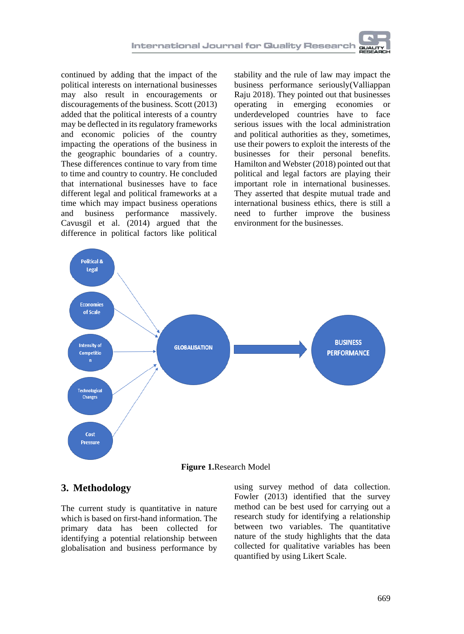continued by adding that the impact of the political interests on international businesses may also result in encouragements or discouragements of the business. Scott (2013) added that the political interests of a country may be deflected in its regulatory frameworks and economic policies of the country impacting the operations of the business in the geographic boundaries of a country. These differences continue to vary from time to time and country to country. He concluded that international businesses have to face different legal and political frameworks at a time which may impact business operations and business performance massively. Cavusgil et al. (2014) argued that the difference in political factors like political

stability and the rule of law may impact the business performance seriously(Valliappan Raju 2018). They pointed out that businesses operating in emerging economies or underdeveloped countries have to face serious issues with the local administration and political authorities as they, sometimes, use their powers to exploit the interests of the businesses for their personal benefits. Hamilton and Webster (2018) pointed out that political and legal factors are playing their important role in international businesses. They asserted that despite mutual trade and international business ethics, there is still a need to further improve the business environment for the businesses.



### **3. Methodology**

The current study is quantitative in nature which is based on first-hand information. The primary data has been collected for identifying a potential relationship between globalisation and business performance by

using survey method of data collection. Fowler (2013) identified that the survey method can be best used for carrying out a research study for identifying a relationship between two variables. The quantitative nature of the study highlights that the data collected for qualitative variables has been quantified by using Likert Scale.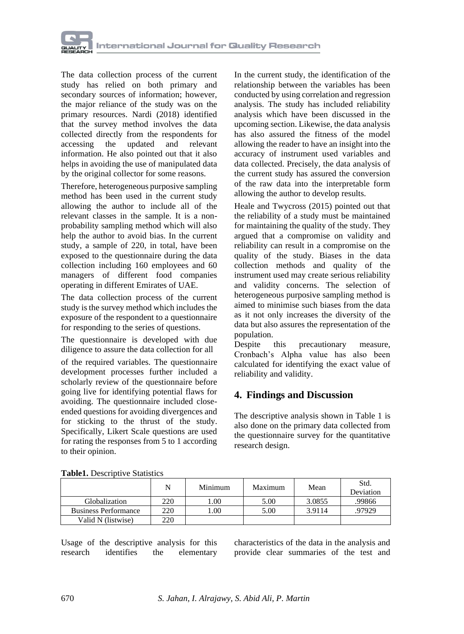

The data collection process of the current study has relied on both primary and secondary sources of information; however, the major reliance of the study was on the primary resources. Nardi (2018) identified that the survey method involves the data collected directly from the respondents for accessing the updated and relevant information. He also pointed out that it also helps in avoiding the use of manipulated data by the original collector for some reasons.

Therefore, heterogeneous purposive sampling method has been used in the current study allowing the author to include all of the relevant classes in the sample. It is a nonprobability sampling method which will also help the author to avoid bias. In the current study, a sample of 220, in total, have been exposed to the questionnaire during the data collection including 160 employees and 60 managers of different food companies operating in different Emirates of UAE.

The data collection process of the current study is the survey method which includes the exposure of the respondent to a questionnaire for responding to the series of questions.

The questionnaire is developed with due diligence to assure the data collection for all

of the required variables. The questionnaire development processes further included a scholarly review of the questionnaire before going live for identifying potential flaws for avoiding. The questionnaire included closeended questions for avoiding divergences and for sticking to the thrust of the study. Specifically, Likert Scale questions are used for rating the responses from 5 to 1 according to their opinion.

In the current study, the identification of the relationship between the variables has been conducted by using correlation and regression analysis. The study has included reliability analysis which have been discussed in the upcoming section. Likewise, the data analysis has also assured the fitness of the model allowing the reader to have an insight into the accuracy of instrument used variables and data collected. Precisely, the data analysis of the current study has assured the conversion of the raw data into the interpretable form allowing the author to develop results.

Heale and Twycross (2015) pointed out that the reliability of a study must be maintained for maintaining the quality of the study. They argued that a compromise on validity and reliability can result in a compromise on the quality of the study. Biases in the data collection methods and quality of the instrument used may create serious reliability and validity concerns. The selection of heterogeneous purposive sampling method is aimed to minimise such biases from the data as it not only increases the diversity of the data but also assures the representation of the population.

Despite this precautionary measure, Cronbach's Alpha value has also been calculated for identifying the exact value of reliability and validity.

# **4. Findings and Discussion**

The descriptive analysis shown in Table 1 is also done on the primary data collected from the questionnaire survey for the quantitative research design.

|                             | N   | Minimum | Maximum | Mean   | Std.<br>Deviation |
|-----------------------------|-----|---------|---------|--------|-------------------|
| Globalization               | 220 | 00.1    | 5.00    | 3.0855 | .99866            |
| <b>Business Performance</b> | 220 | .00.    | 5.00    | 3.9114 | .97929            |
| Valid N (listwise)          | 220 |         |         |        |                   |

|  | <b>Table1.</b> Descriptive Statistics |
|--|---------------------------------------|
|  |                                       |

Usage of the descriptive analysis for this research identifies the elementary characteristics of the data in the analysis and provide clear summaries of the test and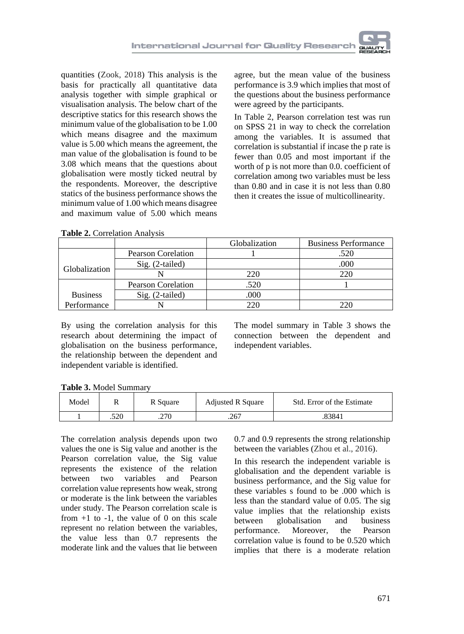quantities (Zook, 2018) This analysis is the basis for practically all quantitative data analysis together with simple graphical or visualisation analysis. The below chart of the descriptive statics for this research shows the minimum value of the globalisation to be 1.00 which means disagree and the maximum value is 5.00 which means the agreement, the man value of the globalisation is found to be 3.08 which means that the questions about globalisation were mostly ticked neutral by the respondents. Moreover, the descriptive statics of the business performance shows the minimum value of 1.00 which means disagree and maximum value of 5.00 which means

agree, but the mean value of the business performance is 3.9 which implies that most of the questions about the business performance were agreed by the participants.

In Table 2, Pearson correlation test was run on SPSS 21 in way to check the correlation among the variables. It is assumed that correlation is substantial if incase the p rate is fewer than 0.05 and most important if the worth of p is not more than 0.0. coefficient of correlation among two variables must be less than 0.80 and in case it is not less than 0.80 then it creates the issue of multicollinearity.

|                 |                           | Globalization | <b>Business Performance</b> |
|-----------------|---------------------------|---------------|-----------------------------|
|                 | <b>Pearson Corelation</b> |               | .520                        |
| Globalization   | Sig. (2-tailed)           |               | .000                        |
|                 |                           | 220           | 220                         |
|                 | <b>Pearson Corelation</b> | .520          |                             |
| <b>Business</b> | $Sig. (2-tailed)$         | .000          |                             |
| Performance     |                           |               | ንንበ                         |

**Table 2.** Correlation Analysis

By using the correlation analysis for this research about determining the impact of globalisation on the business performance, the relationship between the dependent and independent variable is identified.

The model summary in Table 3 shows the connection between the dependent and independent variables.

| Model | **   | R Square | <b>Adjusted R Square</b> | Std. Error of the Estimate |
|-------|------|----------|--------------------------|----------------------------|
|       | .520 | .270     | .267                     | 83841                      |

The correlation analysis depends upon two values the one is Sig value and another is the Pearson correlation value, the Sig value represents the existence of the relation between two variables and Pearson correlation value represents how weak, strong or moderate is the link between the variables under study. The Pearson correlation scale is from  $+1$  to  $-1$ , the value of 0 on this scale represent no relation between the variables, the value less than 0.7 represents the moderate link and the values that lie between

0.7 and 0.9 represents the strong relationship between the variables (Zhou et al., 2016).

In this research the independent variable is globalisation and the dependent variable is business performance, and the Sig value for these variables s found to be .000 which is less than the standard value of 0.05. The sig value implies that the relationship exists between globalisation and business performance. Moreover, the Pearson correlation value is found to be 0.520 which implies that there is a moderate relation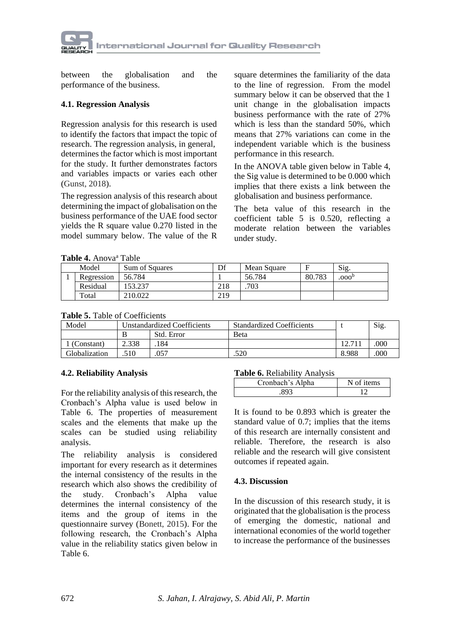

between the globalisation and the performance of the business.

#### **4.1. Regression Analysis**

Regression analysis for this research is used to identify the factors that impact the topic of research. The regression analysis, in general, determines the factor which is most important for the study. It further demonstrates factors and variables impacts or varies each other (Gunst, 2018).

The regression analysis of this research about determining the impact of globalisation on the business performance of the UAE food sector yields the R square value 0.270 listed in the model summary below. The value of the R

square determines the familiarity of the data to the line of regression. From the model summary below it can be observed that the 1 unit change in the globalisation impacts business performance with the rate of 27% which is less than the standard 50%, which means that 27% variations can come in the independent variable which is the business performance in this research.

In the ANOVA table given below in Table 4, the Sig value is determined to be 0.000 which implies that there exists a link between the globalisation and business performance.

The beta value of this research in the coefficient table 5 is 0.520, reflecting a moderate relation between the variables under study.

**Table 4.** Anova<sup>a</sup> Table

| <b>LAVIC T.</b> AHOVA LAVIC |                |     |             |        |                   |  |  |
|-----------------------------|----------------|-----|-------------|--------|-------------------|--|--|
| Model                       | Sum of Squares | Df  | Mean Square |        | Sig.              |  |  |
| Regression                  | 56.784         |     | 56.784      | 80.783 | .000 <sup>b</sup> |  |  |
| Residual                    | 53.237         | 218 | .703        |        |                   |  |  |
| Total                       | 210.022        | 219 |             |        |                   |  |  |

#### **Table 5.** Table of Coefficients

| Model         | <b>Unstandardized Coefficients</b> |            | <b>Standardized Coefficients</b> |       | $\mathrm{Sig}$ |
|---------------|------------------------------------|------------|----------------------------------|-------|----------------|
|               |                                    | Std. Error | <b>B</b> eta                     |       |                |
| (Constant)    | 2.338                              | 184        |                                  |       | 000            |
| Globalization | 510                                | .057       | 520                              | 8.988 | .000           |

#### **4.2. Reliability Analysis**

For the reliability analysis of this research, the Cronbach's Alpha value is used below in Table 6. The properties of measurement scales and the elements that make up the scales can be studied using reliability analysis.

The reliability analysis is considered important for every research as it determines the internal consistency of the results in the research which also shows the credibility of the study. Cronbach's Alpha value determines the internal consistency of the items and the group of items in the questionnaire survey (Bonett, 2015). For the following research, the Cronbach's Alpha value in the reliability statics given below in Table 6.

#### **Table 6.** Reliability Analysis

| Cronbach's Alpha | N of items |
|------------------|------------|
|                  |            |

It is found to be 0.893 which is greater the standard value of 0.7; implies that the items of this research are internally consistent and reliable. Therefore, the research is also reliable and the research will give consistent outcomes if repeated again.

#### **4.3. Discussion**

In the discussion of this research study, it is originated that the globalisation is the process of emerging the domestic, national and international economies of the world together to increase the performance of the businesses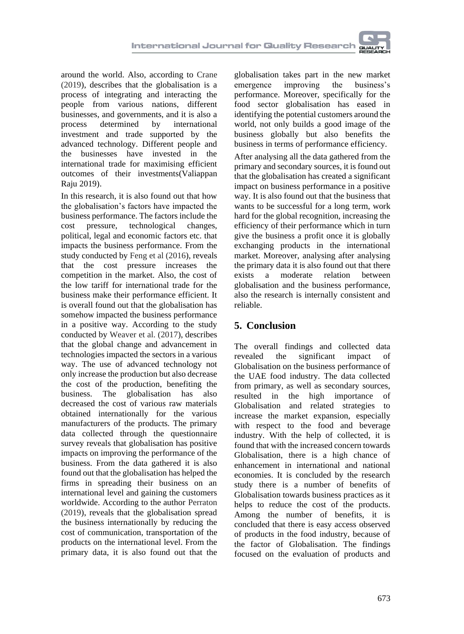around the world. Also, according to Crane (2019), describes that the globalisation is a process of integrating and interacting the people from various nations, different businesses, and governments, and it is also a<br>process determined by international process determined by international investment and trade supported by the advanced technology. Different people and the businesses have invested in the international trade for maximising efficient outcomes of their investments(Valiappan Raju 2019).

In this research, it is also found out that how the globalisation's factors have impacted the business performance. The factors include the cost pressure, technological changes, political, legal and economic factors etc. that impacts the business performance. From the study conducted by Feng et al (2016), reveals that the cost pressure increases the competition in the market. Also, the cost of the low tariff for international trade for the business make their performance efficient. It is overall found out that the globalisation has somehow impacted the business performance in a positive way. According to the study conducted by Weaver et al. (2017), describes that the global change and advancement in technologies impacted the sectors in a various way. The use of advanced technology not only increase the production but also decrease the cost of the production, benefiting the business. The globalisation has also decreased the cost of various raw materials obtained internationally for the various manufacturers of the products. The primary data collected through the questionnaire survey reveals that globalisation has positive impacts on improving the performance of the business. From the data gathered it is also found out that the globalisation has helped the firms in spreading their business on an international level and gaining the customers worldwide. According to the author Perraton (2019), reveals that the globalisation spread the business internationally by reducing the cost of communication, transportation of the products on the international level. From the primary data, it is also found out that the

globalisation takes part in the new market emergence improving the business's performance. Moreover, specifically for the food sector globalisation has eased in identifying the potential customers around the world, not only builds a good image of the business globally but also benefits the business in terms of performance efficiency.

After analysing all the data gathered from the primary and secondary sources, it is found out that the globalisation has created a significant impact on business performance in a positive way. It is also found out that the business that wants to be successful for a long term, work hard for the global recognition, increasing the efficiency of their performance which in turn give the business a profit once it is globally exchanging products in the international market. Moreover, analysing after analysing the primary data it is also found out that there exists a moderate relation between globalisation and the business performance, also the research is internally consistent and reliable.

# **5. Conclusion**

The overall findings and collected data revealed the significant impact of Globalisation on the business performance of the UAE food industry. The data collected from primary, as well as secondary sources, resulted in the high importance of Globalisation and related strategies to increase the market expansion, especially with respect to the food and beverage industry. With the help of collected, it is found that with the increased concern towards Globalisation, there is a high chance of enhancement in international and national economies. It is concluded by the research study there is a number of benefits of Globalisation towards business practices as it helps to reduce the cost of the products. Among the number of benefits, it is concluded that there is easy access observed of products in the food industry, because of the factor of Globalisation. The findings focused on the evaluation of products and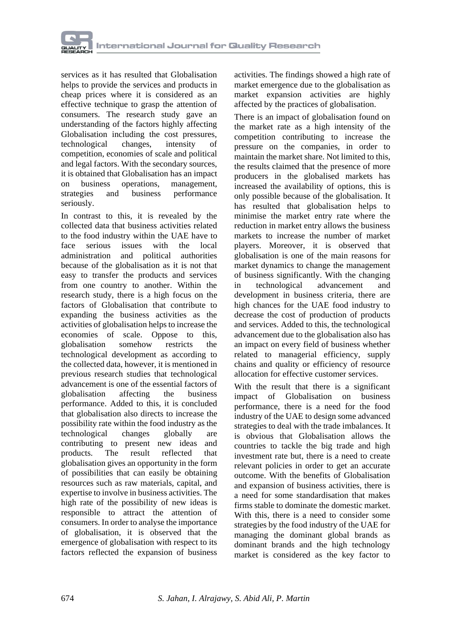services as it has resulted that Globalisation helps to provide the services and products in cheap prices where it is considered as an effective technique to grasp the attention of consumers. The research study gave an understanding of the factors highly affecting Globalisation including the cost pressures, technological changes, intensity of competition, economies of scale and political and legal factors. With the secondary sources, it is obtained that Globalisation has an impact on business operations, management, strategies and business performance seriously.

In contrast to this, it is revealed by the collected data that business activities related to the food industry within the UAE have to face serious issues with the local<br>administration and political authorities political authorities because of the globalisation as it is not that easy to transfer the products and services from one country to another. Within the research study, there is a high focus on the factors of Globalisation that contribute to expanding the business activities as the activities of globalisation helps to increase the economies of scale. Oppose to this, globalisation somehow restricts the technological development as according to the collected data, however, it is mentioned in previous research studies that technological advancement is one of the essential factors of globalisation affecting the business performance. Added to this, it is concluded that globalisation also directs to increase the possibility rate within the food industry as the technological changes globally are contributing to present new ideas and products. The result reflected that globalisation gives an opportunity in the form of possibilities that can easily be obtaining resources such as raw materials, capital, and expertise to involve in business activities. The high rate of the possibility of new ideas is responsible to attract the attention of consumers. In order to analyse the importance of globalisation, it is observed that the emergence of globalisation with respect to its factors reflected the expansion of business

activities. The findings showed a high rate of market emergence due to the globalisation as market expansion activities are highly affected by the practices of globalisation.

There is an impact of globalisation found on the market rate as a high intensity of the competition contributing to increase the pressure on the companies, in order to maintain the market share. Not limited to this, the results claimed that the presence of more producers in the globalised markets has increased the availability of options, this is only possible because of the globalisation. It has resulted that globalisation helps to minimise the market entry rate where the reduction in market entry allows the business markets to increase the number of market players. Moreover, it is observed that globalisation is one of the main reasons for market dynamics to change the management of business significantly. With the changing<br>in technological advancement and in technological advancement development in business criteria, there are high chances for the UAE food industry to decrease the cost of production of products and services. Added to this, the technological advancement due to the globalisation also has an impact on every field of business whether related to managerial efficiency, supply chains and quality or efficiency of resource allocation for effective customer services.

With the result that there is a significant impact of Globalisation on business performance, there is a need for the food industry of the UAE to design some advanced strategies to deal with the trade imbalances. It is obvious that Globalisation allows the countries to tackle the big trade and high investment rate but, there is a need to create relevant policies in order to get an accurate outcome. With the benefits of Globalisation and expansion of business activities, there is a need for some standardisation that makes firms stable to dominate the domestic market. With this, there is a need to consider some strategies by the food industry of the UAE for managing the dominant global brands as dominant brands and the high technology market is considered as the key factor to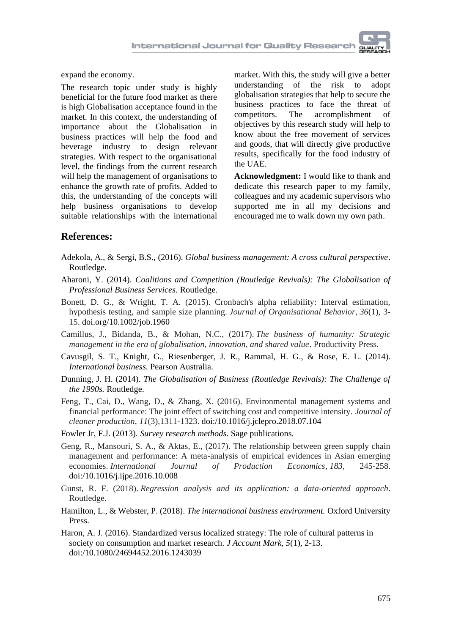expand the economy.

The research topic under study is highly beneficial for the future food market as there is high Globalisation acceptance found in the market. In this context, the understanding of importance about the Globalisation in business practices will help the food and beverage industry to design relevant strategies. With respect to the organisational level, the findings from the current research will help the management of organisations to enhance the growth rate of profits. Added to this, the understanding of the concepts will help business organisations to develop suitable relationships with the international

market. With this, the study will give a better understanding of the risk to adopt globalisation strategies that help to secure the business practices to face the threat of competitors. The accomplishment of objectives by this research study will help to know about the free movement of services and goods, that will directly give productive results, specifically for the food industry of the UAE.

**Acknowledgment:** I would like to thank and dedicate this research paper to my family, colleagues and my academic supervisors who supported me in all my decisions and encouraged me to walk down my own path.

### **References:**

- Adekola, A., & Sergi, B.S., (2016). *Global business management: A cross cultural perspective*. Routledge.
- Aharoni, Y. (2014). *Coalitions and Competition (Routledge Revivals): The Globalisation of Professional Business Services.* Routledge.
- Bonett, D. G., & Wright, T. A. (2015). Cronbach's alpha reliability: Interval estimation, hypothesis testing, and sample size planning. *Journal of Organisational Behavior*, *36*(1), 3- 15. [doi.org/10.1002/job.1960](https://doi.org/10.1002/job.1960)
- Camillus, J., Bidanda, B., & Mohan, N.C., (2017). *The business of humanity: Strategic management in the era of globalisation, innovation, and shared value*. Productivity Press.
- Cavusgil, S. T., Knight, G., Riesenberger, J. R., Rammal, H. G., & Rose, E. L. (2014). *International business.* Pearson Australia.
- Dunning, J. H. (2014). *The Globalisation of Business (Routledge Revivals): The Challenge of the 1990s.* Routledge.
- Feng, T., Cai, D., Wang, D., & Zhang, X. (2016). Environmental management systems and financial performance: The joint effect of switching cost and competitive intensity. *Journal of cleaner production*, *11*(3),1311-1323. [doi:/10.1016/j.jclepro.2018.07.104](https://doi.org/10.1016/j.jclepro.2018.07.104)
- Fowler Jr, F.J. (2013). *Survey research methods*. Sage publications.
- Geng, R., Mansouri, S. A., & Aktas, E., (2017). The relationship between green supply chain management and performance: A meta-analysis of empirical evidences in Asian emerging economies. *International Journal of Production Economics*, *183*, 245-258. doi:/10.1016/j.ijpe.2016.10.008
- Gunst, R. F. (2018). *Regression analysis and its application: a data-oriented approach*. Routledge.
- Hamilton, L., & Webster, P. (2018). *The international business environment.* Oxford University Press.
- Haron, A. J. (2016). Standardized versus localized strategy: The role of cultural patterns in society on consumption and market research*. J Account Mark, 5*(1), 2-13. [doi:/10.1080/24694452.2016.1243039](https://doi.org/10.1080/24694452.2016.1243039)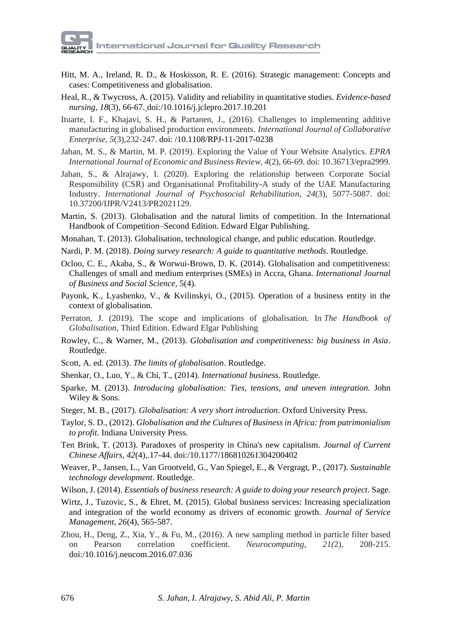- Hitt, M. A., Ireland, R. D., & Hoskisson, R. E. (2016). Strategic management: Concepts and cases: Competitiveness and globalisation.
- Heal, R., & Twycross, A. (2015). Validity and reliability in quantitative studies. *Evidence-based nursing, 18*(3), 66-67. [doi:/10.1016/j.jclepro.2017.10.201](https://doi.org/10.1016/j.jclepro.2017.10.201)
- Ituarte, I. F., Khajavi, S. H., & Partanen, J., (2016). Challenges to implementing additive manufacturing in globalised production environments. *International Journal of Collaborative Enterprise*, *5*(3),232-247. [doi: /10.1108/RPJ-11-2017-0238](https://doi.org/10.1108/RPJ-11-2017-0238)
- Jahan, M. S., & Martin, M. P. (2019). Exploring the Value of Your Website Analytics. *EPRA International Journal of Economic and Business Review, 4*(2), 66-69. doi: 10.36713/epra2999.
- Jahan, S., & Alrajawy, I. (2020). Exploring the relationship between Corporate Social Responsibility (CSR) and Organisational Profitability-A study of the UAE Manufacturing Industry. *International Journal of Psychosocial Rehabilitation, 24*(3), 5077-5087. doi: 10.37200/IJPR/V2413/PR2021129.
- Martin, S. (2013). Globalisation and the natural limits of competition. In the International Handbook of Competition–Second Edition. Edward Elgar Publishing.
- Monahan, T. (2013). Globalisation, technological change, and public education. Routledge.
- Nardi, P. M. (2018). *Doing survey research: A guide to quantitative methods*. Routledge.
- Ocloo, C. E., Akaba, S., & Worwui-Brown, D. K. (2014). Globalisation and competitiveness: Challenges of small and medium enterprises (SMEs) in Accra, Ghana. *International Journal of Business and Social Science,* 5(4).
- Payonk, K., Lyashenko, V., & Kvilinskyi, O., (2015). Operation of a business entity in the context of globalisation.
- Perraton, J. (2019). The scope and implications of globalisation. In *The Handbook of Globalisation,* Third Edition. Edward Elgar Publishing
- Rowley, C., & Warner, M., (2013). *Globalisation and competitiveness: big business in Asia*. Routledge.
- Scott, A. ed. (2013). *The limits of globalisation*. Routledge.
- Shenkar, O., Luo, Y., & Chi, T., (2014). *International business*. Routledge.
- Sparke, M. (2013). *Introducing globalisation: Ties, tensions, and uneven integration.* John Wiley & Sons.
- Steger, M. B., (2017). *Globalisation: A very short introduction*. Oxford University Press.
- Taylor, S. D., (2012). *Globalisation and the Cultures of Business in Africa: from patrimonialism to profit.* Indiana University Press.
- Ten Brink, T. (2013). Paradoxes of prosperity in China's new capitalism. *Journal of Current Chinese Affairs, 42*(4),.17-44. [doi:/10.1177/186810261304200402](https://doi.org/10.1177%2F186810261304200402)
- Weaver, P., Jansen, L., Van Grootveld, G., Van Spiegel, E., & Vergragt, P., (2017). *Sustainable technology development*. Routledge.
- Wilson, J. (2014). *Essentials of business research: A guide to doing your research project*. Sage.
- Wirtz, J., Tuzovic, S., & Ehret, M. (2015). Global business services: Increasing specialization and integration of the world economy as drivers of economic growth. *Journal of Service Management, 26*(4), 565-587.
- Zhou, H., Deng, Z., Xia, Y., & Fu, M., (2016). A new sampling method in particle filter based on Pearson correlation coefficient. *Neurocomputing*, *21(*2), 208-215. [doi:/10.1016/j.neucom.2016.07.036](https://doi.org/10.1016/j.neucom.2016.07.036)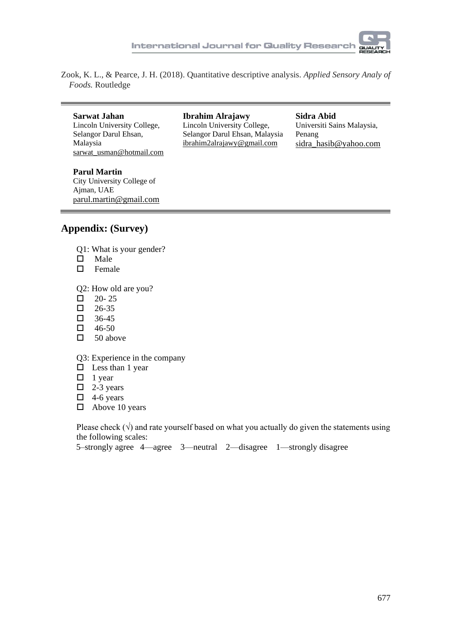

Zook, K. L., & Pearce, J. H. (2018). Quantitative descriptive analysis. *Applied Sensory Analy of Foods.* Routledge

**Sarwat Jahan** Lincoln University College, Selangor Darul Ehsan, Malaysia sarwat\_usman@hotmail.com **Ibrahim Alrajawy** Lincoln University College, Selangor Darul Ehsan, Malaysia ibrahim2alrajawy@gmail.com

**Sidra Abid** Universiti Sains Malaysia, Penang sidra\_hasib@yahoo.com

**Parul Martin** City University College of Ajman, UAE parul.martin@gmail.com

### **Appendix: (Survey)**

- Q1: What is your gender?
- $\square$  Male
- $\Box$  Female
- Q2: How old are you?
- $\Box$  20-25
- $\Box$  26-35
- $\Box$  36-45
- $\Box$  46-50
- $\Box$  50 above

Q3: Experience in the company

- $\square$  Less than 1 year
- $\Box$  1 year
- $\Box$  2-3 years
- $\Box$  4-6 years
- $\Box$  Above 10 years

Please check  $(\sqrt{})$  and rate yourself based on what you actually do given the statements using the following scales:

5–strongly agree 4—agree 3—neutral 2—disagree 1—strongly disagree